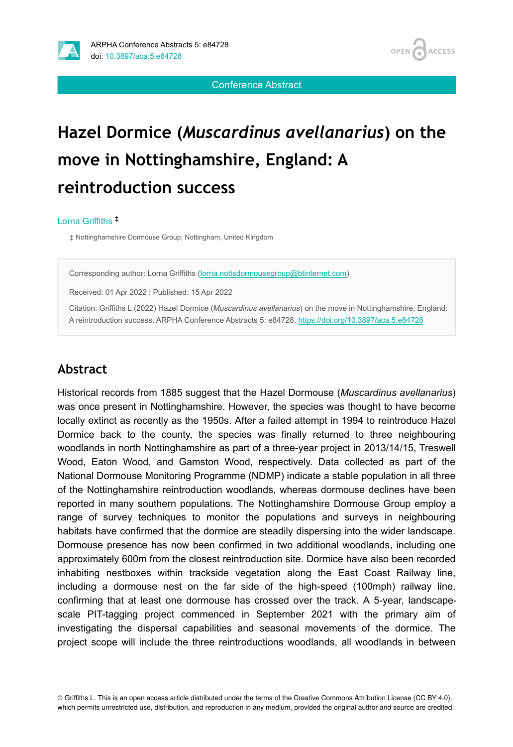

**OPEN ACCESS** 

Conference Abstract

# **Hazel Dormice (***Muscardinus avellanarius***) on the move in Nottinghamshire, England: A reintroduction success**

#### Lorna Griffiths ‡

‡ Nottinghamshire Dormouse Group, Nottingham, United Kingdom

Corresponding author: Lorna Griffiths ([lorna.nottsdormousegroup@btinternet.com\)](mailto:lorna.nottsdormousegroup@btinternet.com)

Received: 01 Apr 2022 | Published: 15 Apr 2022

Citation: Griffiths L (2022) Hazel Dormice (*Muscardinus avellanarius*) on the move in Nottinghamshire, England: A reintroduction success. ARPHA Conference Abstracts 5: e84728. <https://doi.org/10.3897/aca.5.e84728>

#### **Abstract**

Historical records from 1885 suggest that the Hazel Dormouse (*Muscardinus avellanarius*) was once present in Nottinghamshire. However, the species was thought to have become locally extinct as recently as the 1950s. After a failed attempt in 1994 to reintroduce Hazel Dormice back to the county, the species was finally returned to three neighbouring woodlands in north Nottinghamshire as part of a three-year project in 2013/14/15, Treswell Wood, Eaton Wood, and Gamston Wood, respectively. Data collected as part of the National Dormouse Monitoring Programme (NDMP) indicate a stable population in all three of the Nottinghamshire reintroduction woodlands, whereas dormouse declines have been reported in many southern populations. The Nottinghamshire Dormouse Group employ a range of survey techniques to monitor the populations and surveys in neighbouring habitats have confirmed that the dormice are steadily dispersing into the wider landscape. Dormouse presence has now been confirmed in two additional woodlands, including one approximately 600m from the closest reintroduction site. Dormice have also been recorded inhabiting nestboxes within trackside vegetation along the East Coast Railway line, including a dormouse nest on the far side of the high-speed (100mph) railway line, confirming that at least one dormouse has crossed over the track. A 5-year, landscapescale PIT-tagging project commenced in September 2021 with the primary aim of investigating the dispersal capabilities and seasonal movements of the dormice. The project scope will include the three reintroductions woodlands, all woodlands in between